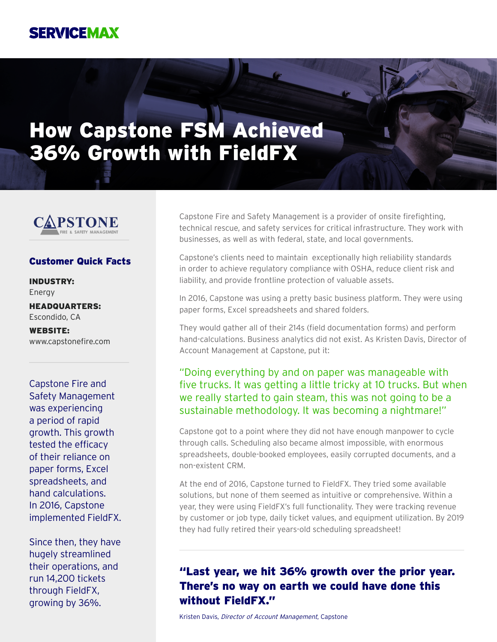## **SERVICEMAX**

# How Capstone FSM Achieved 36% Growth with FieldFX



#### Customer Quick Facts

INDUSTRY: Energy

HEADQUARTERS: Escondido, CA

WEBSITE: www.capstonefire.com

Capstone Fire and Safety Management was experiencing a period of rapid growth. This growth tested the efficacy of their reliance on paper forms, Excel spreadsheets, and hand calculations. In 2016, Capstone implemented FieldFX.

Since then, they have hugely streamlined their operations, and run 14,200 tickets through FieldFX, growing by 36%.

Capstone Fire and Safety Management is a provider of onsite firefighting, technical rescue, and safety services for critical infrastructure. They work with businesses, as well as with federal, state, and local governments.

Capstone's clients need to maintain exceptionally high reliability standards in order to achieve regulatory compliance with OSHA, reduce client risk and liability, and provide frontline protection of valuable assets.

In 2016, Capstone was using a pretty basic business platform. They were using paper forms, Excel spreadsheets and shared folders.

They would gather all of their 214s (field documentation forms) and perform hand-calculations. Business analytics did not exist. As Kristen Davis, Director of Account Management at Capstone, put it:

#### "Doing everything by and on paper was manageable with five trucks. It was getting a little tricky at 10 trucks. But when we really started to gain steam, this was not going to be a sustainable methodology. It was becoming a nightmare!"

Capstone got to a point where they did not have enough manpower to cycle through calls. Scheduling also became almost impossible, with enormous spreadsheets, double-booked employees, easily corrupted documents, and a non-existent CRM.

At the end of 2016, Capstone turned to FieldFX. They tried some available solutions, but none of them seemed as intuitive or comprehensive. Within a year, they were using FieldFX's full functionality. They were tracking revenue by customer or job type, daily ticket values, and equipment utilization. By 2019 they had fully retired their years-old scheduling spreadsheet!

### "Last year, we hit 36% growth over the prior year. There's no way on earth we could have done this without FieldFX."

Kristen Davis, Director of Account Management, Capstone